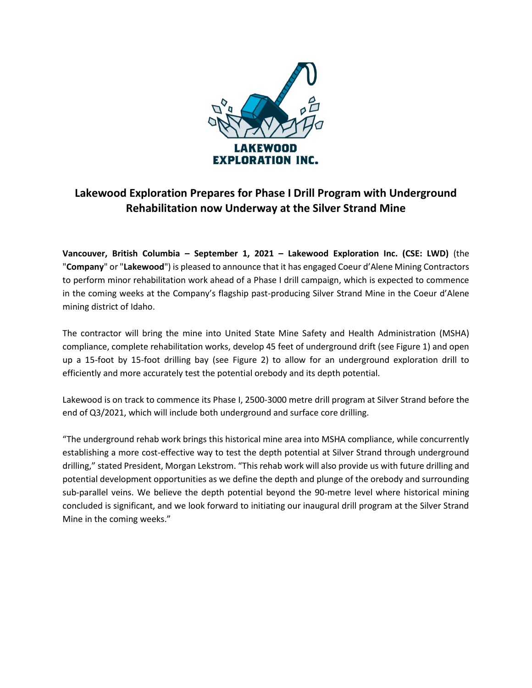

## **Lakewood Exploration Prepares for Phase I Drill Program with Underground Rehabilitation now Underway at the Silver Strand Mine**

**Vancouver, British Columbia – September 1, 2021 – Lakewood Exploration Inc. (CSE: LWD)** (the "**Company**" or "**Lakewood**") is pleased to announce that it has engaged Coeur d'Alene Mining Contractors to perform minor rehabilitation work ahead of a Phase I drill campaign, which is expected to commence in the coming weeks at the Company's flagship past-producing Silver Strand Mine in the Coeur d'Alene mining district of Idaho.

The contractor will bring the mine into United State Mine Safety and Health Administration (MSHA) compliance, complete rehabilitation works, develop 45 feet of underground drift (see Figure 1) and open up a 15-foot by 15-foot drilling bay (see Figure 2) to allow for an underground exploration drill to efficiently and more accurately test the potential orebody and its depth potential.

Lakewood is on track to commence its Phase I, 2500-3000 metre drill program at Silver Strand before the end of Q3/2021, which will include both underground and surface core drilling.

"The underground rehab work brings this historical mine area into MSHA compliance, while concurrently establishing a more cost-effective way to test the depth potential at Silver Strand through underground drilling," stated President, Morgan Lekstrom. "This rehab work will also provide us with future drilling and potential development opportunities as we define the depth and plunge of the orebody and surrounding sub-parallel veins. We believe the depth potential beyond the 90-metre level where historical mining concluded is significant, and we look forward to initiating our inaugural drill program at the Silver Strand Mine in the coming weeks."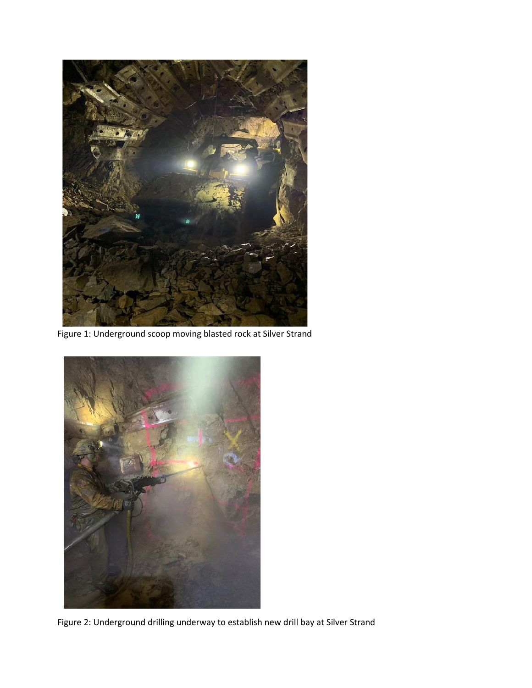

Figure 1: Underground scoop moving blasted rock at Silver Strand



Figure 2: Underground drilling underway to establish new drill bay at Silver Strand